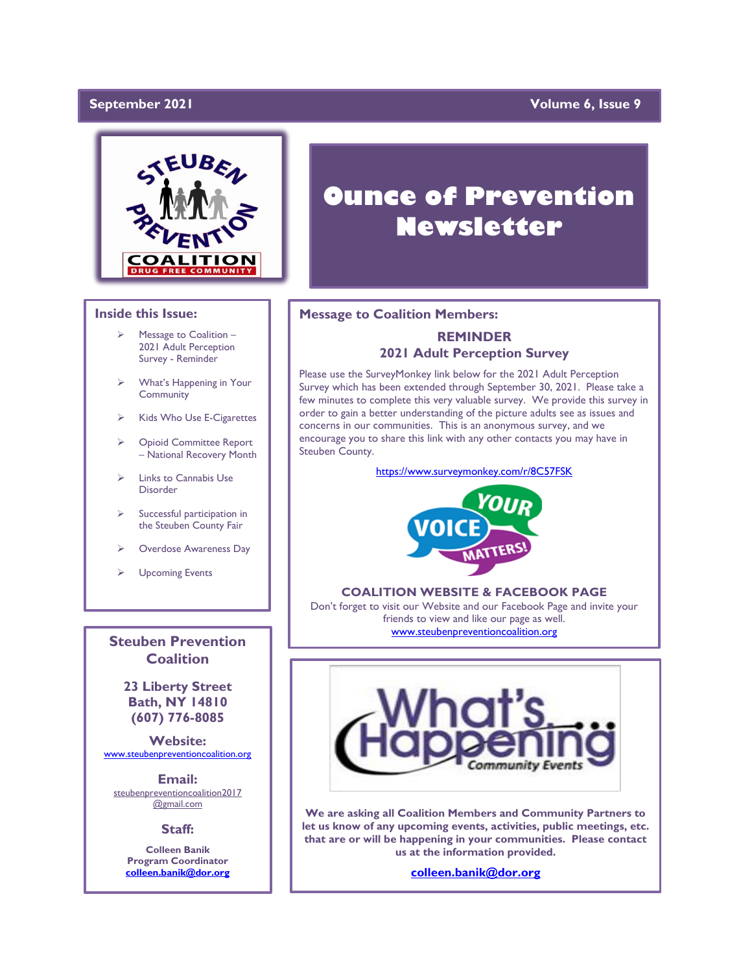### September 2021

### **Yolume 6, Issue 9**



### **Inside this Issue:**

- Message to Coalition -2021 Adult Perception Survey - Reminder
- ➢ What's Happening in Your **Community**
- ➢ Kids Who Use E-Cigarettes
- ➢ Opioid Committee Report – National Recovery Month
- ➢ Links to Cannabis Use Disorder
- Successful participation in the Steuben County Fair
- ➢ Overdose Awareness Day
- ➢ Upcoming Events

**Steuben Prevention Coalition**

**23 Liberty Street Bath, NY 14810 (607) 776-8085**

**Website:**  [www.steubenpreventioncoalition.org](http://www.steubenpreventioncoalition.org/)

**Email:**  steubenpreventioncoalition2017 @gmail.com

**Staff:**

**Colleen Banik Program Coordinator [colleen.banik@dor.org](mailto:colleen.banik@dor.org)**

# **Ounce of Prevention Newsletter**

### **Message to Coalition Members:**

### **REMINDER 2021 Adult Perception Survey**

Please use the SurveyMonkey link below for the 2021 Adult Perception Survey which has been extended through September 30, 2021. Please take a few minutes to complete this very valuable survey. We provide this survey in order to gain a better understanding of the picture adults see as issues and concerns in our communities. This is an anonymous survey, and we encourage you to share this link with any other contacts you may have in Steuben County.

<https://www.surveymonkey.com/r/8C57FSK>



### **COALITION WEBSITE & FACEBOOK PAGE**

Don't forget to visit our Website and our Facebook Page and invite your friends to view and like our page as well. [www.steubenpreventioncoalition.org](http://www.steubenpreventioncoalition.org/)



**We are asking all Coalition Members and Community Partners to let us know of any upcoming events, activities, public meetings, etc. that are or will be happening in your communities. Please contact us at the information provided.**

**[colleen.banik@dor.org](mailto:colleen.banik@dor.org)**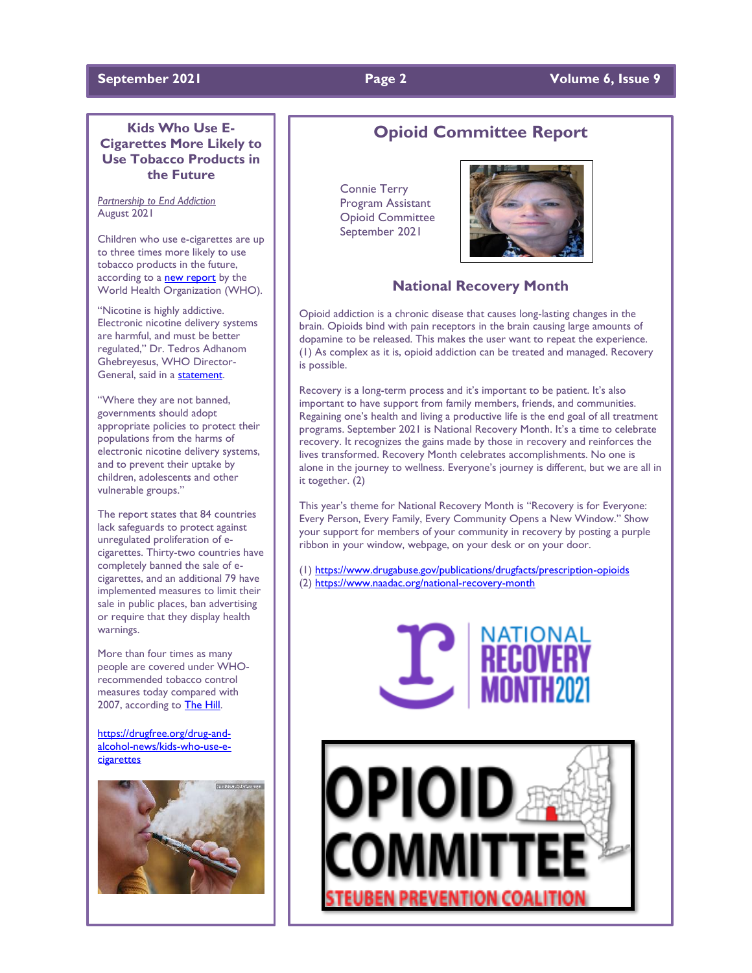### **Kids Who Use E-Cigarettes More Likely to Use Tobacco Products in the Future**

*Partnership to End Addiction* August 2021

Children who use e-cigarettes are up to three times more likely to use tobacco products in the future, according to a **[new report](https://www.who.int/publications/i/item/9789240032095)** by the World Health Organization (WHO).

"Nicotine is highly addictive. Electronic nicotine delivery systems are harmful, and must be better regulated," Dr. Tedros Adhanom Ghebreyesus, WHO Director-General, said in a [statement.](https://www.who.int/news/item/27-07-2021-who-reports-progress-in-the-fight-against-tobacco-epidemic) 

"Where they are not banned, governments should adopt appropriate policies to protect their populations from the harms of electronic nicotine delivery systems, and to prevent their uptake by children, adolescents and other vulnerable groups."

The report states that 84 countries lack safeguards to protect against unregulated proliferation of ecigarettes. Thirty-two countries have completely banned the sale of ecigarettes, and an additional 79 have implemented measures to limit their sale in public places, ban advertising or require that they display health warnings.

More than four times as many people are covered under WHOrecommended tobacco control measures today compared with 2007, according to [The Hill.](https://thehill.com/policy/healthcare/565089-who-leader-issues-warning-on-harmful-e-cigarettes)

[https://drugfree.org/drug-and](https://drugfree.org/drug-and-alcohol-news/kids-who-use-e-cigarettes)[alcohol-news/kids-who-use-e](https://drugfree.org/drug-and-alcohol-news/kids-who-use-e-cigarettes)[cigarettes](https://drugfree.org/drug-and-alcohol-news/kids-who-use-e-cigarettes)



# **Opioid Committee Report**

 Connie Terry Program Assistant Opioid Committee September 2021



### **National Recovery Month**

Opioid addiction is a chronic disease that causes long-lasting changes in the brain. Opioids bind with pain receptors in the brain causing large amounts of dopamine to be released. This makes the user want to repeat the experience. (1) As complex as it is, opioid addiction can be treated and managed. Recovery is possible.

Recovery is a long-term process and it's important to be patient. It's also important to have support from family members, friends, and communities. Regaining one's health and living a productive life is the end goal of all treatment programs. September 2021 is National Recovery Month. It's a time to celebrate recovery. It recognizes the gains made by those in recovery and reinforces the lives transformed. Recovery Month celebrates accomplishments. No one is alone in the journey to wellness. Everyone's journey is different, but we are all in it together. (2)

This year's theme for National Recovery Month is "Recovery is for Everyone: Every Person, Every Family, Every Community Opens a New Window." Show your support for members of your community in recovery by posting a purple ribbon in your window, webpage, on your desk or on your door.

(1[\) https://www.drugabuse.gov/publications/drugfacts/prescription-opioids](https://www.drugabuse.gov/publications/drugfacts/prescription-opioids) (2[\) https://www.naadac.org/national-recovery-month](https://www.naadac.org/national-recovery-month)



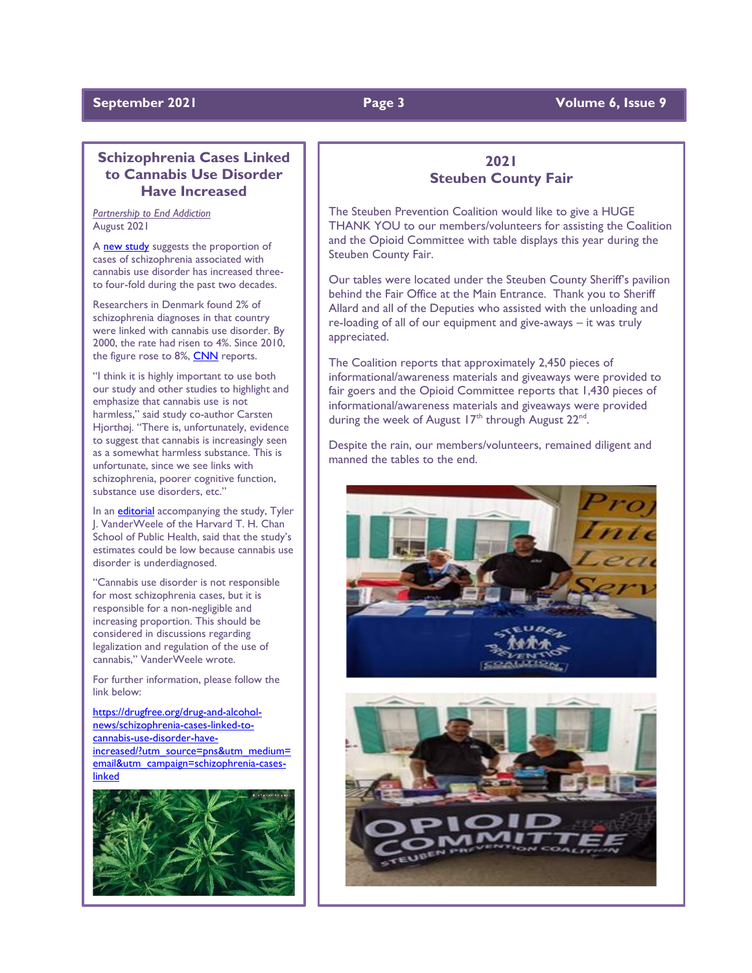### **September 2021 Page 3 Volume 6, Issue 9**

### **Schizophrenia Cases Linked to Cannabis Use Disorder Have Increased**

*Partnership to End Addiction* August 2021

A [new study](https://jamanetwork.com/journals/jamapsychiatry/fullarticle/2782160) suggests the proportion of cases of schizophrenia associated with cannabis use disorder has increased threeto four-fold during the past two decades.

Researchers in Denmark found 2% of schizophrenia diagnoses in that country were linked with cannabis use disorder. By 2000, the rate had risen to 4%. Since 2010, the figure rose to 8%, [CNN](https://www.cnn.com/2021/07/22/health/marijuana-schizophrenia-study-wellness/index.html) reports.

"I think it is highly important to use both our study and other studies to highlight and emphasize that cannabis use is not harmless," said study co-author Carsten Hjorthøj. "There is, unfortunately, evidence to suggest that cannabis is increasingly seen as a somewhat harmless substance. This is unfortunate, since we see links with schizophrenia, poorer cognitive function, substance use disorders, etc."

In an **[editorial](https://jamanetwork.com/journals/jamapsychiatry/article-abstract/2782162)** accompanying the study, Tyler J. VanderWeele of the Harvard T. H. Chan School of Public Health, said that the study's estimates could be low because cannabis use disorder is underdiagnosed.

"Cannabis use disorder is not responsible for most schizophrenia cases, but it is responsible for a non-negligible and increasing proportion. This should be considered in discussions regarding legalization and regulation of the use of cannabis," VanderWeele wrote.

For further information, please follow the link below:

[https://drugfree.org/drug-and-alcohol](https://drugfree.org/drug-and-alcohol-news/schizophrenia-cases-linked-to-cannabis-use-disorder-have-increased/?utm_source=pns&utm_medium=email&utm_campaign=schizophrenia-cases-linked)[news/schizophrenia-cases-linked-to](https://drugfree.org/drug-and-alcohol-news/schizophrenia-cases-linked-to-cannabis-use-disorder-have-increased/?utm_source=pns&utm_medium=email&utm_campaign=schizophrenia-cases-linked)[cannabis-use-disorder-have](https://drugfree.org/drug-and-alcohol-news/schizophrenia-cases-linked-to-cannabis-use-disorder-have-increased/?utm_source=pns&utm_medium=email&utm_campaign=schizophrenia-cases-linked)[increased/?utm\\_source=pns&utm\\_medium=](https://drugfree.org/drug-and-alcohol-news/schizophrenia-cases-linked-to-cannabis-use-disorder-have-increased/?utm_source=pns&utm_medium=email&utm_campaign=schizophrenia-cases-linked) [email&utm\\_campaign=schizophrenia-cases](https://drugfree.org/drug-and-alcohol-news/schizophrenia-cases-linked-to-cannabis-use-disorder-have-increased/?utm_source=pns&utm_medium=email&utm_campaign=schizophrenia-cases-linked)[linked](https://drugfree.org/drug-and-alcohol-news/schizophrenia-cases-linked-to-cannabis-use-disorder-have-increased/?utm_source=pns&utm_medium=email&utm_campaign=schizophrenia-cases-linked)



### **2021 Steuben County Fair**

The Steuben Prevention Coalition would like to give a HUGE THANK YOU to our members/volunteers for assisting the Coalition and the Opioid Committee with table displays this year during the Steuben County Fair.

Our tables were located under the Steuben County Sheriff's pavilion behind the Fair Office at the Main Entrance. Thank you to Sheriff Allard and all of the Deputies who assisted with the unloading and re-loading of all of our equipment and give-aways – it was truly appreciated.

The Coalition reports that approximately 2,450 pieces of informational/awareness materials and giveaways were provided to fair goers and the Opioid Committee reports that 1,430 pieces of informational/awareness materials and giveaways were provided during the week of August 17<sup>th</sup> through August 22<sup>nd</sup>.

Despite the rain, our members/volunteers, remained diligent and manned the tables to the end.